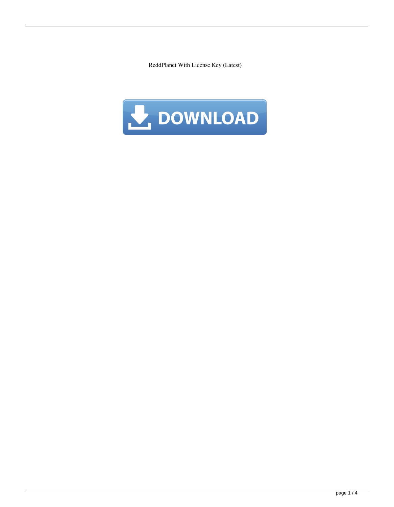ReddPlanet With License Key (Latest)

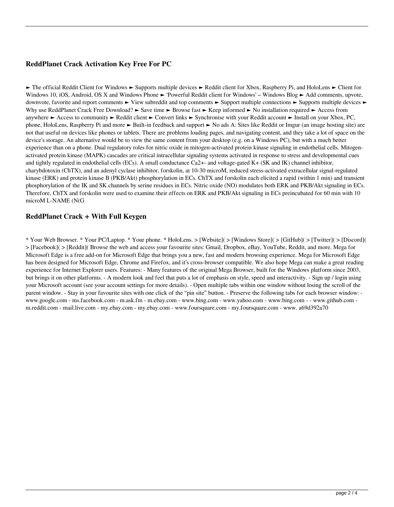## **ReddPlanet Crack Activation Key Free For PC**

► The official Reddit Client for Windows ► Supports multiple devices ► Reddit client for Xbox, Raspberry Pi, and HoloLens ► Client for Windows 10, iOS, Android, OS X and Windows Phone ► 'Powerful Reddit client for Windows' – Windows Blog ► Add comments, upvote, downvote, favorite and report comments ► View subreddit and top comments ► Support multiple connections ► Supports multiple devices ► Why use ReddPlanet Crack Free Download? ► Save time ► Browse fast ► Keep informed ► No installation required ► Access from anywhere ► Access to community ► Reddit client ► Convert links ► Synchronise with your Reddit account ► Install on your Xbox, PC, phone, HoloLens, Raspberry Pi and more ► Built-in feedback and support ► No ads A: Sites like Reddit or Imgur (an image hosting site) are not that useful on devices like phones or tablets. There are problems loading pages, and navigating content, and they take a lot of space on the device's storage. An alternative would be to view the same content from your desktop (e.g. on a Windows PC), but with a much better experience than on a phone. Dual regulatory roles for nitric oxide in mitogen-activated protein kinase signaling in endothelial cells. Mitogenactivated protein kinase (MAPK) cascades are critical intracellular signaling systems activated in response to stress and developmental cues and tightly regulated in endothelial cells (ECs). A small conductance Ca2+- and voltage-gated  $K+$  (SK and IK) channel inhibitor, charybdotoxin (ChTX), and an adenyl cyclase inhibitor, forskolin, at 10-30 microM, reduced stress-activated extracellular signal-regulated kinase (ERK) and protein kinase B (PKB/Akt) phosphorylation in ECs. ChTX and forskolin each elicited a rapid (within 1 min) and transient phosphorylation of the IK and SK channels by serine residues in ECs. Nitric oxide (NO) modulates both ERK and PKB/Akt signaling in ECs. Therefore, ChTX and forskolin were used to examine their effects on ERK and PKB/Akt signaling in ECs preincubated for 60 min with 10 microM L-NAME (N(G

### **ReddPlanet Crack + With Full Keygen**

\* Your Web Browser. \* Your PC/Laptop. \* Your phone. \* HoloLens. > [Website]( > [Windows Store]( > [GitHub]( > [Twitter]( > [Discord]( > [Facebook]( > [Reddit]( Browse the web and access your favourite sites: Gmail, Dropbox, eBay, YouTube, Reddit, and more. Mega for Microsoft Edge is a free add-on for Microsoft Edge that brings you a new, fast and modern browsing experience. Mega for Microsoft Edge has been designed for Microsoft Edge, Chrome and Firefox, and it's cross-browser compatible. We also hope Mega can make a great reading experience for Internet Explorer users. Features: - Many features of the original Mega Browser, built for the Windows platform since 2003, but brings it on other platforms. - A modern look and feel that puts a lot of emphasis on style, speed and interactivity. - Sign up / login using your Microsoft account (see your account settings for more details). - Open multiple tabs within one window without losing the scroll of the parent window. - Stay in your favourite sites with one click of the "pin site" button. - Preserve the following tabs for each browser window: www.google.com - ms.facebook.com - m.ask.fm - m.ebay.com - www.bing.com - www.yahoo.com - www.bing.com - - www.github.com m.reddit.com - mail.live.com - my.ebay.com - my.ebay.com - www.foursquare.com - my.foursquare.com - www. a69d392a70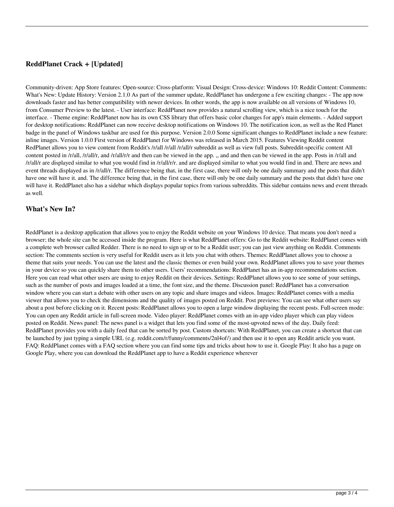### **ReddPlanet Crack + [Updated]**

Community-driven: App Store features: Open-source: Cross-platform: Visual Design: Cross-device: Windows 10: Reddit Content: Comments: What's New: Update History: Version 2.1.0 As part of the summer update, ReddPlanet has undergone a few exciting changes: - The app now downloads faster and has better compatibility with newer devices. In other words, the app is now available on all versions of Windows 10, from Consumer Preview to the latest. - User interface: ReddPlanet now provides a natural scrolling view, which is a nice touch for the interface. - Theme engine: ReddPlanet now has its own CSS library that offers basic color changes for app's main elements. - Added support for desktop notifications: ReddPlanet can now receive desktop notifications on Windows 10. The notification icon, as well as the Red Planet badge in the panel of Windows taskbar are used for this purpose. Version 2.0.0 Some significant changes to ReddPlanet include a new feature: inline images. Version 1.0.0 First version of ReddPlanet for Windows was released in March 2015. Features Viewing Reddit content RedPlanet allows you to view content from Reddit's /r/all /r/all/r subreddit as well as view full posts. Subreddit-specific content All content posted in /r/all, /r/all/r, and /r/all/r/r and then can be viewed in the app. ,, and and then can be viewed in the app. Posts in /r/all and /r/all/r are displayed similar to what you would find in /r/all/r/r. and are displayed similar to what you would find in and. There are news and event threads displayed as in /r/all/r. The difference being that, in the first case, there will only be one daily summary and the posts that didn't have one will have it. and. The difference being that, in the first case, there will only be one daily summary and the posts that didn't have one will have it. ReddPlanet also has a sidebar which displays popular topics from various subreddits. This sidebar contains news and event threads as well.

#### **What's New In?**

ReddPlanet is a desktop application that allows you to enjoy the Reddit website on your Windows 10 device. That means you don't need a browser; the whole site can be accessed inside the program. Here is what ReddPlanet offers: Go to the Reddit website: ReddPlanet comes with a complete web browser called Redder. There is no need to sign up or to be a Reddit user; you can just view anything on Reddit. Comments section: The comments section is very useful for Reddit users as it lets you chat with others. Themes: ReddPlanet allows you to choose a theme that suits your needs. You can use the latest and the classic themes or even build your own. ReddPlanet allows you to save your themes in your device so you can quickly share them to other users. Users' recommendations: ReddPlanet has an in-app recommendations section. Here you can read what other users are using to enjoy Reddit on their devices. Settings: ReddPlanet allows you to see some of your settings, such as the number of posts and images loaded at a time, the font size, and the theme. Discussion panel: ReddPlanet has a conversation window where you can start a debate with other users on any topic and share images and videos. Images: ReddPlanet comes with a media viewer that allows you to check the dimensions and the quality of images posted on Reddit. Post previews: You can see what other users say about a post before clicking on it. Recent posts: ReddPlanet allows you to open a large window displaying the recent posts. Full-screen mode: You can open any Reddit article in full-screen mode. Video player: ReddPlanet comes with an in-app video player which can play videos posted on Reddit. News panel: The news panel is a widget that lets you find some of the most-upvoted news of the day. Daily feed: ReddPlanet provides you with a daily feed that can be sorted by post. Custom shortcuts: With ReddPlanet, you can create a shortcut that can be launched by just typing a simple URL (e.g. reddit.com/r/funny/comments/2nl4of/) and then use it to open any Reddit article you want. FAQ: ReddPlanet comes with a FAQ section where you can find some tips and tricks about how to use it. Google Play: It also has a page on Google Play, where you can download the ReddPlanet app to have a Reddit experience wherever